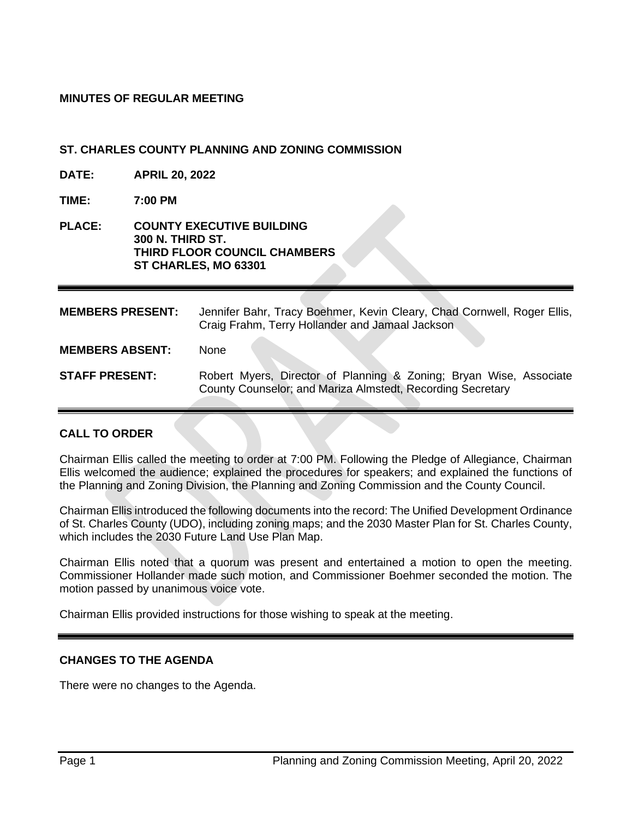## **MINUTES OF REGULAR MEETING**

#### **ST. CHARLES COUNTY PLANNING AND ZONING COMMISSION**

- **DATE: APRIL 20, 2022**
- **TIME: 7:00 PM**
- **PLACE: COUNTY EXECUTIVE BUILDING 300 N. THIRD ST. THIRD FLOOR COUNCIL CHAMBERS ST CHARLES, MO 63301**

| <b>MEMBERS PRESENT:</b> | Jennifer Bahr, Tracy Boehmer, Kevin Cleary, Chad Cornwell, Roger Ellis,<br>Craig Frahm, Terry Hollander and Jamaal Jackson       |
|-------------------------|----------------------------------------------------------------------------------------------------------------------------------|
| <b>MEMBERS ABSENT:</b>  | None                                                                                                                             |
| <b>STAFF PRESENT:</b>   | Robert Myers, Director of Planning & Zoning; Bryan Wise, Associate<br>County Counselor; and Mariza Almstedt, Recording Secretary |

## **CALL TO ORDER**

Chairman Ellis called the meeting to order at 7:00 PM. Following the Pledge of Allegiance, Chairman Ellis welcomed the audience; explained the procedures for speakers; and explained the functions of the Planning and Zoning Division, the Planning and Zoning Commission and the County Council.

Chairman Ellis introduced the following documents into the record: The Unified Development Ordinance of St. Charles County (UDO), including zoning maps; and the 2030 Master Plan for St. Charles County, which includes the 2030 Future Land Use Plan Map.

Chairman Ellis noted that a quorum was present and entertained a motion to open the meeting. Commissioner Hollander made such motion, and Commissioner Boehmer seconded the motion. The motion passed by unanimous voice vote.

Chairman Ellis provided instructions for those wishing to speak at the meeting.

## **CHANGES TO THE AGENDA**

There were no changes to the Agenda.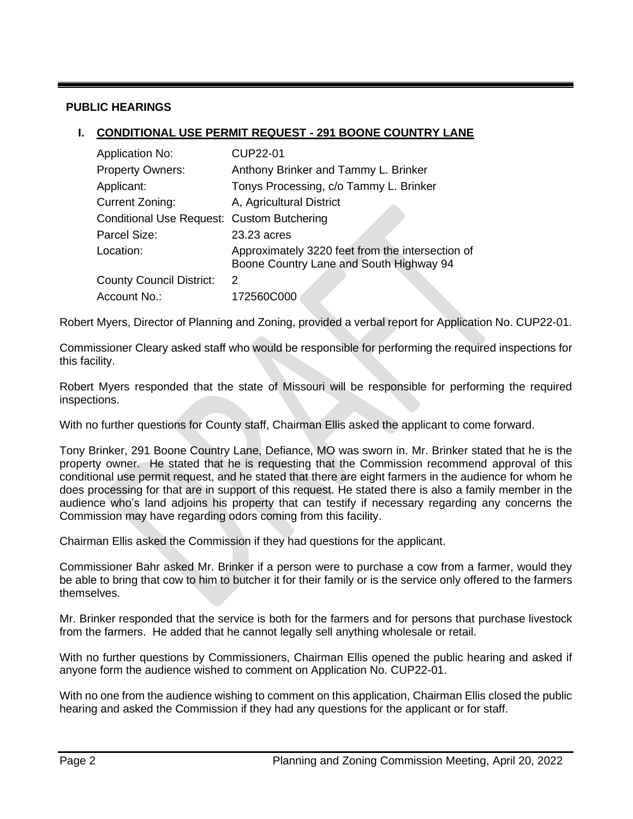## **PUBLIC HEARINGS**

# **I. CONDITIONAL USE PERMIT REQUEST - 291 BOONE COUNTRY LANE**

| <b>Application No:</b>                     | <b>CUP22-01</b>                                                                             |
|--------------------------------------------|---------------------------------------------------------------------------------------------|
| <b>Property Owners:</b>                    | Anthony Brinker and Tammy L. Brinker                                                        |
| Applicant:                                 | Tonys Processing, c/o Tammy L. Brinker                                                      |
| <b>Current Zoning:</b>                     | A, Agricultural District                                                                    |
| Conditional Use Request: Custom Butchering |                                                                                             |
| Parcel Size:                               | 23.23 acres                                                                                 |
| Location:                                  | Approximately 3220 feet from the intersection of<br>Boone Country Lane and South Highway 94 |
| <b>County Council District:</b>            | $\mathcal{P}$                                                                               |
| Account No.:                               | 172560C000                                                                                  |

Robert Myers, Director of Planning and Zoning, provided a verbal report for Application No. CUP22-01.

Commissioner Cleary asked staff who would be responsible for performing the required inspections for this facility.

Robert Myers responded that the state of Missouri will be responsible for performing the required inspections.

With no further questions for County staff, Chairman Ellis asked the applicant to come forward.

Tony Brinker, 291 Boone Country Lane, Defiance, MO was sworn in. Mr. Brinker stated that he is the property owner. He stated that he is requesting that the Commission recommend approval of this conditional use permit request, and he stated that there are eight farmers in the audience for whom he does processing for that are in support of this request. He stated there is also a family member in the audience who's land adjoins his property that can testify if necessary regarding any concerns the Commission may have regarding odors coming from this facility.

Chairman Ellis asked the Commission if they had questions for the applicant.

Commissioner Bahr asked Mr. Brinker if a person were to purchase a cow from a farmer, would they be able to bring that cow to him to butcher it for their family or is the service only offered to the farmers themselves.

Mr. Brinker responded that the service is both for the farmers and for persons that purchase livestock from the farmers. He added that he cannot legally sell anything wholesale or retail.

With no further questions by Commissioners, Chairman Ellis opened the public hearing and asked if anyone form the audience wished to comment on Application No. CUP22-01.

With no one from the audience wishing to comment on this application, Chairman Ellis closed the public hearing and asked the Commission if they had any questions for the applicant or for staff.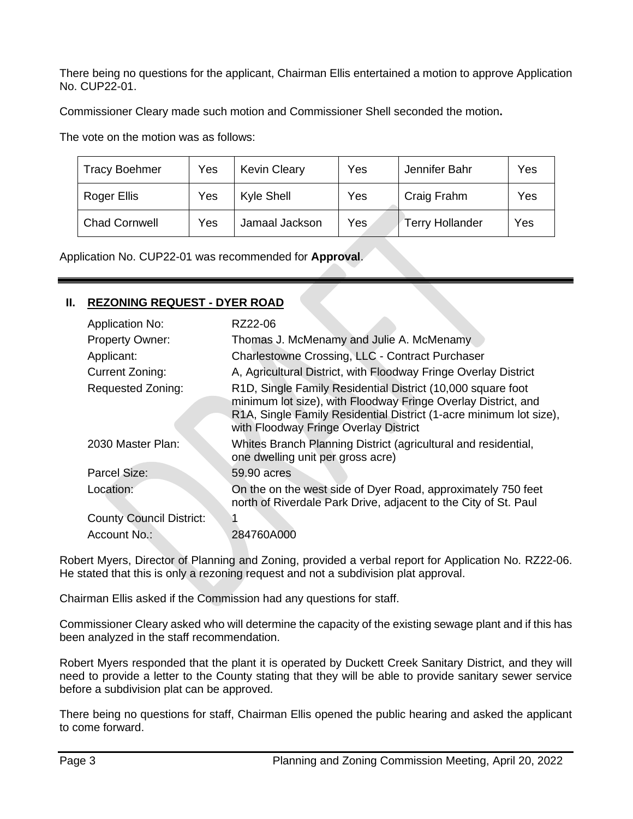There being no questions for the applicant, Chairman Ellis entertained a motion to approve Application No. CUP22-01.

Commissioner Cleary made such motion and Commissioner Shell seconded the motion**.**

The vote on the motion was as follows:

| <b>Tracy Boehmer</b> | Yes | <b>Kevin Cleary</b> | Yes | Jennifer Bahr   | Yes |
|----------------------|-----|---------------------|-----|-----------------|-----|
| Roger Ellis          | Yes | <b>Kyle Shell</b>   | Yes | Craig Frahm     | Yes |
| <b>Chad Cornwell</b> | Yes | Jamaal Jackson      | Yes | Terry Hollander | Yes |

Application No. CUP22-01 was recommended for **Approval**.

# **II. REZONING REQUEST - DYER ROAD**

| <b>Application No:</b>          | RZ22-06                                                                                                                                                                                                                                     |
|---------------------------------|---------------------------------------------------------------------------------------------------------------------------------------------------------------------------------------------------------------------------------------------|
| <b>Property Owner:</b>          | Thomas J. McMenamy and Julie A. McMenamy                                                                                                                                                                                                    |
| Applicant:                      | Charlestowne Crossing, LLC - Contract Purchaser                                                                                                                                                                                             |
| Current Zoning:                 | A, Agricultural District, with Floodway Fringe Overlay District                                                                                                                                                                             |
| <b>Requested Zoning:</b>        | R1D, Single Family Residential District (10,000 square foot<br>minimum lot size), with Floodway Fringe Overlay District, and<br>R1A, Single Family Residential District (1-acre minimum lot size),<br>with Floodway Fringe Overlay District |
| 2030 Master Plan:               | Whites Branch Planning District (agricultural and residential,<br>one dwelling unit per gross acre)                                                                                                                                         |
| Parcel Size:                    | 59.90 acres                                                                                                                                                                                                                                 |
| Location:                       | On the on the west side of Dyer Road, approximately 750 feet<br>north of Riverdale Park Drive, adjacent to the City of St. Paul                                                                                                             |
| <b>County Council District:</b> |                                                                                                                                                                                                                                             |
| Account No.:                    | 284760A000                                                                                                                                                                                                                                  |

Robert Myers, Director of Planning and Zoning, provided a verbal report for Application No. RZ22-06. He stated that this is only a rezoning request and not a subdivision plat approval.

Chairman Ellis asked if the Commission had any questions for staff.

Commissioner Cleary asked who will determine the capacity of the existing sewage plant and if this has been analyzed in the staff recommendation.

Robert Myers responded that the plant it is operated by Duckett Creek Sanitary District, and they will need to provide a letter to the County stating that they will be able to provide sanitary sewer service before a subdivision plat can be approved.

There being no questions for staff, Chairman Ellis opened the public hearing and asked the applicant to come forward.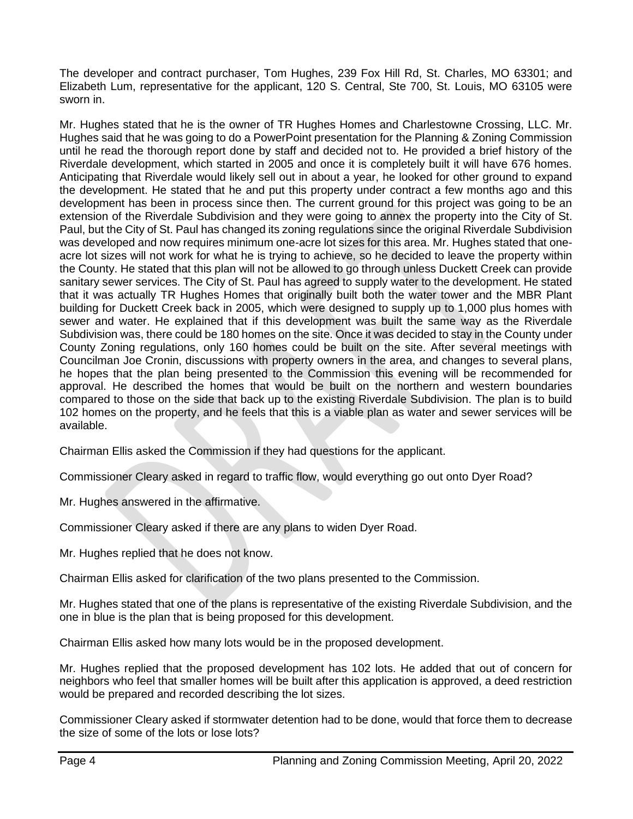The developer and contract purchaser, Tom Hughes, 239 Fox Hill Rd, St. Charles, MO 63301; and Elizabeth Lum, representative for the applicant, 120 S. Central, Ste 700, St. Louis, MO 63105 were sworn in.

Mr. Hughes stated that he is the owner of TR Hughes Homes and Charlestowne Crossing, LLC. Mr. Hughes said that he was going to do a PowerPoint presentation for the Planning & Zoning Commission until he read the thorough report done by staff and decided not to. He provided a brief history of the Riverdale development, which started in 2005 and once it is completely built it will have 676 homes. Anticipating that Riverdale would likely sell out in about a year, he looked for other ground to expand the development. He stated that he and put this property under contract a few months ago and this development has been in process since then. The current ground for this project was going to be an extension of the Riverdale Subdivision and they were going to annex the property into the City of St. Paul, but the City of St. Paul has changed its zoning regulations since the original Riverdale Subdivision was developed and now requires minimum one-acre lot sizes for this area. Mr. Hughes stated that oneacre lot sizes will not work for what he is trying to achieve, so he decided to leave the property within the County. He stated that this plan will not be allowed to go through unless Duckett Creek can provide sanitary sewer services. The City of St. Paul has agreed to supply water to the development. He stated that it was actually TR Hughes Homes that originally built both the water tower and the MBR Plant building for Duckett Creek back in 2005, which were designed to supply up to 1,000 plus homes with sewer and water. He explained that if this development was built the same way as the Riverdale Subdivision was, there could be 180 homes on the site. Once it was decided to stay in the County under County Zoning regulations, only 160 homes could be built on the site. After several meetings with Councilman Joe Cronin, discussions with property owners in the area, and changes to several plans, he hopes that the plan being presented to the Commission this evening will be recommended for approval. He described the homes that would be built on the northern and western boundaries compared to those on the side that back up to the existing Riverdale Subdivision. The plan is to build 102 homes on the property, and he feels that this is a viable plan as water and sewer services will be available.

Chairman Ellis asked the Commission if they had questions for the applicant.

Commissioner Cleary asked in regard to traffic flow, would everything go out onto Dyer Road?

Mr. Hughes answered in the affirmative.

Commissioner Cleary asked if there are any plans to widen Dyer Road.

Mr. Hughes replied that he does not know.

Chairman Ellis asked for clarification of the two plans presented to the Commission.

Mr. Hughes stated that one of the plans is representative of the existing Riverdale Subdivision, and the one in blue is the plan that is being proposed for this development.

Chairman Ellis asked how many lots would be in the proposed development.

Mr. Hughes replied that the proposed development has 102 lots. He added that out of concern for neighbors who feel that smaller homes will be built after this application is approved, a deed restriction would be prepared and recorded describing the lot sizes.

Commissioner Cleary asked if stormwater detention had to be done, would that force them to decrease the size of some of the lots or lose lots?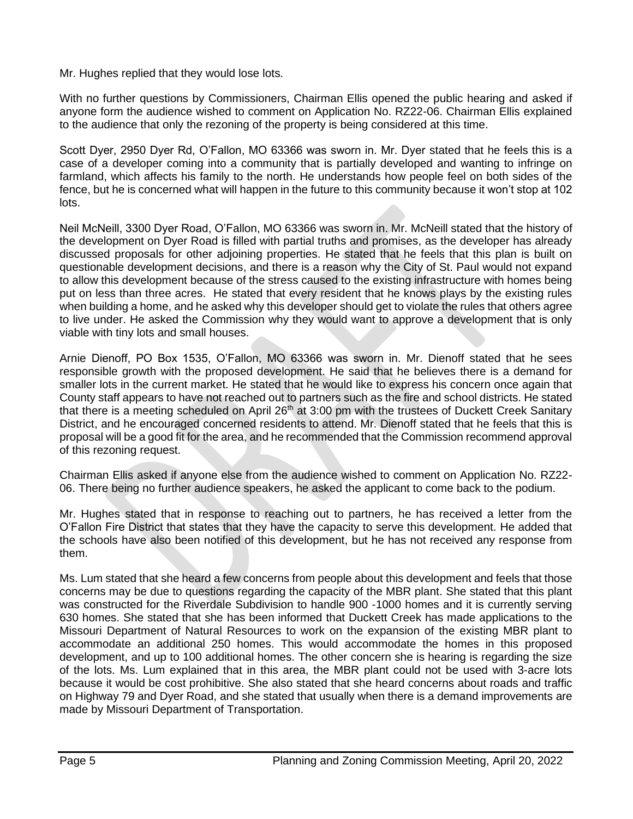Mr. Hughes replied that they would lose lots.

With no further questions by Commissioners, Chairman Ellis opened the public hearing and asked if anyone form the audience wished to comment on Application No. RZ22-06. Chairman Ellis explained to the audience that only the rezoning of the property is being considered at this time.

Scott Dyer, 2950 Dyer Rd, O'Fallon, MO 63366 was sworn in. Mr. Dyer stated that he feels this is a case of a developer coming into a community that is partially developed and wanting to infringe on farmland, which affects his family to the north. He understands how people feel on both sides of the fence, but he is concerned what will happen in the future to this community because it won't stop at 102 lots.

Neil McNeill, 3300 Dyer Road, O'Fallon, MO 63366 was sworn in. Mr. McNeill stated that the history of the development on Dyer Road is filled with partial truths and promises, as the developer has already discussed proposals for other adjoining properties. He stated that he feels that this plan is built on questionable development decisions, and there is a reason why the City of St. Paul would not expand to allow this development because of the stress caused to the existing infrastructure with homes being put on less than three acres. He stated that every resident that he knows plays by the existing rules when building a home, and he asked why this developer should get to violate the rules that others agree to live under. He asked the Commission why they would want to approve a development that is only viable with tiny lots and small houses.

Arnie Dienoff, PO Box 1535, O'Fallon, MO 63366 was sworn in. Mr. Dienoff stated that he sees responsible growth with the proposed development. He said that he believes there is a demand for smaller lots in the current market. He stated that he would like to express his concern once again that County staff appears to have not reached out to partners such as the fire and school districts. He stated that there is a meeting scheduled on April 26<sup>th</sup> at 3:00 pm with the trustees of Duckett Creek Sanitary District, and he encouraged concerned residents to attend. Mr. Dienoff stated that he feels that this is proposal will be a good fit for the area, and he recommended that the Commission recommend approval of this rezoning request.

Chairman Ellis asked if anyone else from the audience wished to comment on Application No. RZ22- 06. There being no further audience speakers, he asked the applicant to come back to the podium.

Mr. Hughes stated that in response to reaching out to partners, he has received a letter from the O'Fallon Fire District that states that they have the capacity to serve this development. He added that the schools have also been notified of this development, but he has not received any response from them.

Ms. Lum stated that she heard a few concerns from people about this development and feels that those concerns may be due to questions regarding the capacity of the MBR plant. She stated that this plant was constructed for the Riverdale Subdivision to handle 900 -1000 homes and it is currently serving 630 homes. She stated that she has been informed that Duckett Creek has made applications to the Missouri Department of Natural Resources to work on the expansion of the existing MBR plant to accommodate an additional 250 homes. This would accommodate the homes in this proposed development, and up to 100 additional homes. The other concern she is hearing is regarding the size of the lots. Ms. Lum explained that in this area, the MBR plant could not be used with 3-acre lots because it would be cost prohibitive. She also stated that she heard concerns about roads and traffic on Highway 79 and Dyer Road, and she stated that usually when there is a demand improvements are made by Missouri Department of Transportation.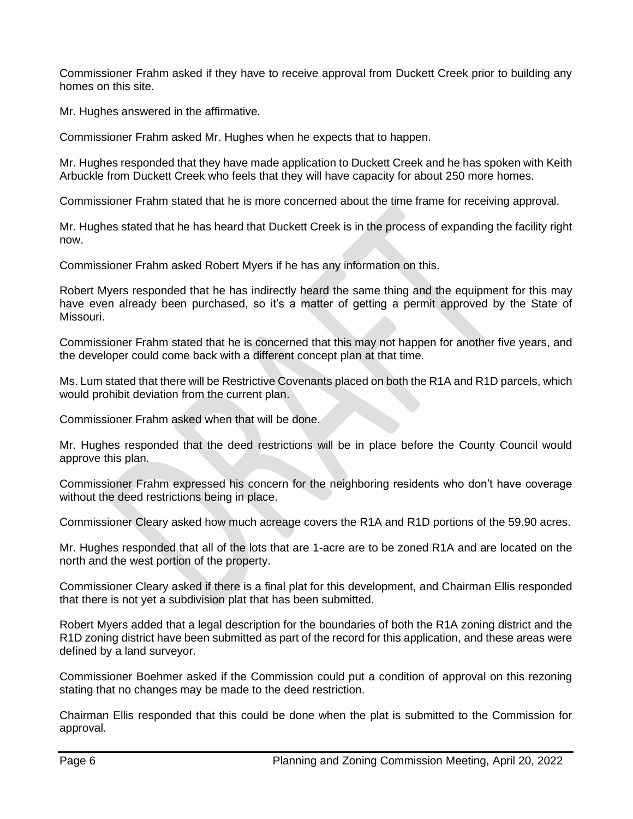Commissioner Frahm asked if they have to receive approval from Duckett Creek prior to building any homes on this site.

Mr. Hughes answered in the affirmative.

Commissioner Frahm asked Mr. Hughes when he expects that to happen.

Mr. Hughes responded that they have made application to Duckett Creek and he has spoken with Keith Arbuckle from Duckett Creek who feels that they will have capacity for about 250 more homes.

Commissioner Frahm stated that he is more concerned about the time frame for receiving approval.

Mr. Hughes stated that he has heard that Duckett Creek is in the process of expanding the facility right now.

Commissioner Frahm asked Robert Myers if he has any information on this.

Robert Myers responded that he has indirectly heard the same thing and the equipment for this may have even already been purchased, so it's a matter of getting a permit approved by the State of Missouri.

Commissioner Frahm stated that he is concerned that this may not happen for another five years, and the developer could come back with a different concept plan at that time.

Ms. Lum stated that there will be Restrictive Covenants placed on both the R1A and R1D parcels, which would prohibit deviation from the current plan.

Commissioner Frahm asked when that will be done.

Mr. Hughes responded that the deed restrictions will be in place before the County Council would approve this plan.

Commissioner Frahm expressed his concern for the neighboring residents who don't have coverage without the deed restrictions being in place.

Commissioner Cleary asked how much acreage covers the R1A and R1D portions of the 59.90 acres.

Mr. Hughes responded that all of the lots that are 1-acre are to be zoned R1A and are located on the north and the west portion of the property.

Commissioner Cleary asked if there is a final plat for this development, and Chairman Ellis responded that there is not yet a subdivision plat that has been submitted.

Robert Myers added that a legal description for the boundaries of both the R1A zoning district and the R1D zoning district have been submitted as part of the record for this application, and these areas were defined by a land surveyor.

Commissioner Boehmer asked if the Commission could put a condition of approval on this rezoning stating that no changes may be made to the deed restriction.

Chairman Ellis responded that this could be done when the plat is submitted to the Commission for approval.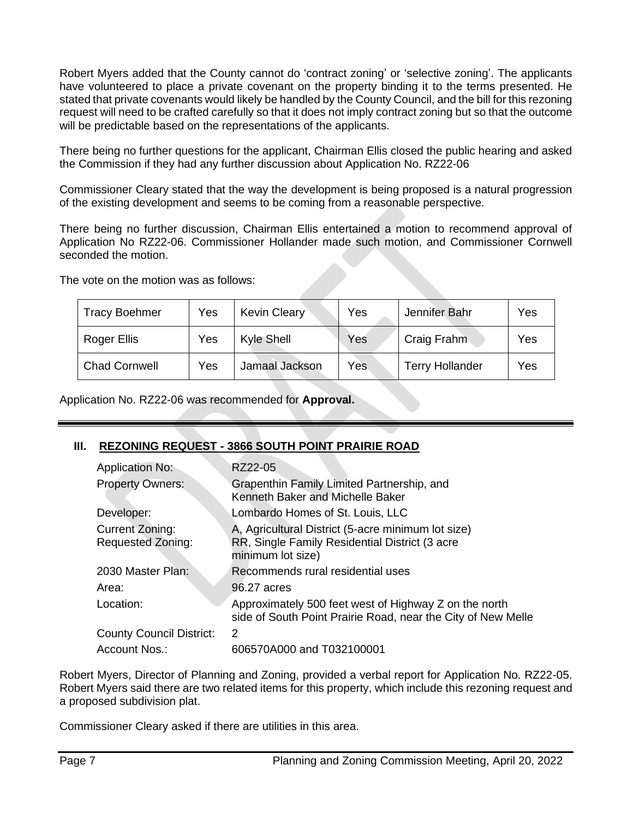Robert Myers added that the County cannot do 'contract zoning' or 'selective zoning'. The applicants have volunteered to place a private covenant on the property binding it to the terms presented. He stated that private covenants would likely be handled by the County Council, and the bill for this rezoning request will need to be crafted carefully so that it does not imply contract zoning but so that the outcome will be predictable based on the representations of the applicants.

There being no further questions for the applicant, Chairman Ellis closed the public hearing and asked the Commission if they had any further discussion about Application No. RZ22-06

Commissioner Cleary stated that the way the development is being proposed is a natural progression of the existing development and seems to be coming from a reasonable perspective.

There being no further discussion, Chairman Ellis entertained a motion to recommend approval of Application No RZ22-06. Commissioner Hollander made such motion, and Commissioner Cornwell seconded the motion.

The vote on the motion was as follows:

| <b>Tracy Boehmer</b> | Yes | <b>Kevin Cleary</b> | Yes | Jennifer Bahr          | Yes |
|----------------------|-----|---------------------|-----|------------------------|-----|
| Roger Ellis          | Yes | <b>Kyle Shell</b>   | Yes | Craig Frahm            | Yes |
| <b>Chad Cornwell</b> | Yes | Jamaal Jackson      | Yes | <b>Terry Hollander</b> | Yes |

Application No. RZ22-06 was recommended for **Approval.**

# **III. REZONING REQUEST - 3866 SOUTH POINT PRAIRIE ROAD**

| <b>Application No:</b>                             | RZ22-05                                                                                                                   |
|----------------------------------------------------|---------------------------------------------------------------------------------------------------------------------------|
| <b>Property Owners:</b>                            | Grapenthin Family Limited Partnership, and<br>Kenneth Baker and Michelle Baker                                            |
| Developer:                                         | Lombardo Homes of St. Louis, LLC                                                                                          |
| <b>Current Zoning:</b><br><b>Requested Zoning:</b> | A, Agricultural District (5-acre minimum lot size)<br>RR, Single Family Residential District (3 acre<br>minimum lot size) |
| 2030 Master Plan:                                  | Recommends rural residential uses                                                                                         |
| Area:                                              | 96.27 acres                                                                                                               |
| Location:                                          | Approximately 500 feet west of Highway Z on the north<br>side of South Point Prairie Road, near the City of New Melle     |
| <b>County Council District:</b>                    | 2                                                                                                                         |
| Account Nos.:                                      | 606570A000 and T032100001                                                                                                 |

Robert Myers, Director of Planning and Zoning, provided a verbal report for Application No. RZ22-05. Robert Myers said there are two related items for this property, which include this rezoning request and a proposed subdivision plat.

Commissioner Cleary asked if there are utilities in this area.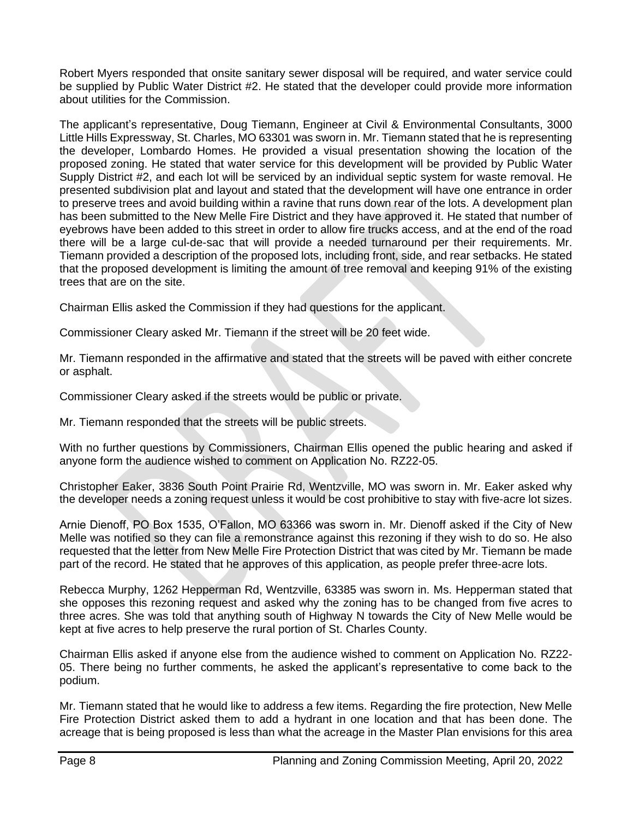Robert Myers responded that onsite sanitary sewer disposal will be required, and water service could be supplied by Public Water District #2. He stated that the developer could provide more information about utilities for the Commission.

The applicant's representative, Doug Tiemann, Engineer at Civil & Environmental Consultants, 3000 Little Hills Expressway, St. Charles, MO 63301 was sworn in. Mr. Tiemann stated that he is representing the developer, Lombardo Homes. He provided a visual presentation showing the location of the proposed zoning. He stated that water service for this development will be provided by Public Water Supply District #2, and each lot will be serviced by an individual septic system for waste removal. He presented subdivision plat and layout and stated that the development will have one entrance in order to preserve trees and avoid building within a ravine that runs down rear of the lots. A development plan has been submitted to the New Melle Fire District and they have approved it. He stated that number of eyebrows have been added to this street in order to allow fire trucks access, and at the end of the road there will be a large cul-de-sac that will provide a needed turnaround per their requirements. Mr. Tiemann provided a description of the proposed lots, including front, side, and rear setbacks. He stated that the proposed development is limiting the amount of tree removal and keeping 91% of the existing trees that are on the site.

Chairman Ellis asked the Commission if they had questions for the applicant.

Commissioner Cleary asked Mr. Tiemann if the street will be 20 feet wide.

Mr. Tiemann responded in the affirmative and stated that the streets will be paved with either concrete or asphalt.

Commissioner Cleary asked if the streets would be public or private.

Mr. Tiemann responded that the streets will be public streets.

With no further questions by Commissioners, Chairman Ellis opened the public hearing and asked if anyone form the audience wished to comment on Application No. RZ22-05.

Christopher Eaker, 3836 South Point Prairie Rd, Wentzville, MO was sworn in. Mr. Eaker asked why the developer needs a zoning request unless it would be cost prohibitive to stay with five-acre lot sizes.

Arnie Dienoff, PO Box 1535, O'Fallon, MO 63366 was sworn in. Mr. Dienoff asked if the City of New Melle was notified so they can file a remonstrance against this rezoning if they wish to do so. He also requested that the letter from New Melle Fire Protection District that was cited by Mr. Tiemann be made part of the record. He stated that he approves of this application, as people prefer three-acre lots.

Rebecca Murphy, 1262 Hepperman Rd, Wentzville, 63385 was sworn in. Ms. Hepperman stated that she opposes this rezoning request and asked why the zoning has to be changed from five acres to three acres. She was told that anything south of Highway N towards the City of New Melle would be kept at five acres to help preserve the rural portion of St. Charles County.

Chairman Ellis asked if anyone else from the audience wished to comment on Application No. RZ22- 05. There being no further comments, he asked the applicant's representative to come back to the podium.

Mr. Tiemann stated that he would like to address a few items. Regarding the fire protection, New Melle Fire Protection District asked them to add a hydrant in one location and that has been done. The acreage that is being proposed is less than what the acreage in the Master Plan envisions for this area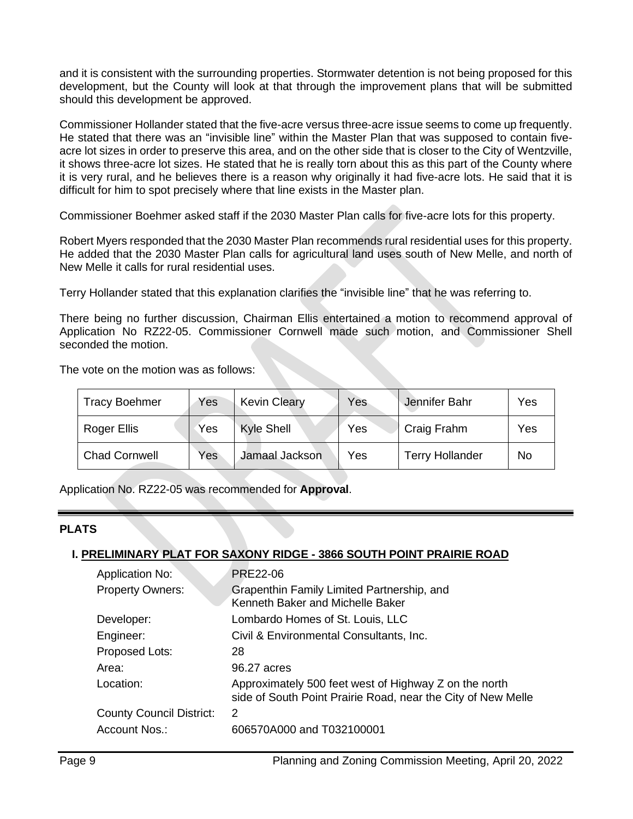and it is consistent with the surrounding properties. Stormwater detention is not being proposed for this development, but the County will look at that through the improvement plans that will be submitted should this development be approved.

Commissioner Hollander stated that the five-acre versus three-acre issue seems to come up frequently. He stated that there was an "invisible line" within the Master Plan that was supposed to contain fiveacre lot sizes in order to preserve this area, and on the other side that is closer to the City of Wentzville, it shows three-acre lot sizes. He stated that he is really torn about this as this part of the County where it is very rural, and he believes there is a reason why originally it had five-acre lots. He said that it is difficult for him to spot precisely where that line exists in the Master plan.

Commissioner Boehmer asked staff if the 2030 Master Plan calls for five-acre lots for this property.

Robert Myers responded that the 2030 Master Plan recommends rural residential uses for this property. He added that the 2030 Master Plan calls for agricultural land uses south of New Melle, and north of New Melle it calls for rural residential uses.

Terry Hollander stated that this explanation clarifies the "invisible line" that he was referring to.

There being no further discussion, Chairman Ellis entertained a motion to recommend approval of Application No RZ22-05. Commissioner Cornwell made such motion, and Commissioner Shell seconded the motion.

The vote on the motion was as follows:

| <b>Tracy Boehmer</b> | Yes | <b>Kevin Cleary</b> | Yes | Jennifer Bahr          | Yes |
|----------------------|-----|---------------------|-----|------------------------|-----|
| Roger Ellis          | Yes | <b>Kyle Shell</b>   | Yes | Craig Frahm            | Yes |
| <b>Chad Cornwell</b> | Yes | Jamaal Jackson      | Yes | <b>Terry Hollander</b> | No  |

Application No. RZ22-05 was recommended for **Approval**.

# **PLATS**

# **I. PRELIMINARY PLAT FOR SAXONY RIDGE - 3866 SOUTH POINT PRAIRIE ROAD**

| <b>Application No:</b>          | PRE22-06                                                                                                              |
|---------------------------------|-----------------------------------------------------------------------------------------------------------------------|
| <b>Property Owners:</b>         | Grapenthin Family Limited Partnership, and<br>Kenneth Baker and Michelle Baker                                        |
| Developer:                      | Lombardo Homes of St. Louis, LLC                                                                                      |
| Engineer:                       | Civil & Environmental Consultants, Inc.                                                                               |
| Proposed Lots:                  | 28                                                                                                                    |
| Area:                           | 96.27 acres                                                                                                           |
| Location:                       | Approximately 500 feet west of Highway Z on the north<br>side of South Point Prairie Road, near the City of New Melle |
| <b>County Council District:</b> | 2                                                                                                                     |
| Account Nos.:                   | 606570A000 and T032100001                                                                                             |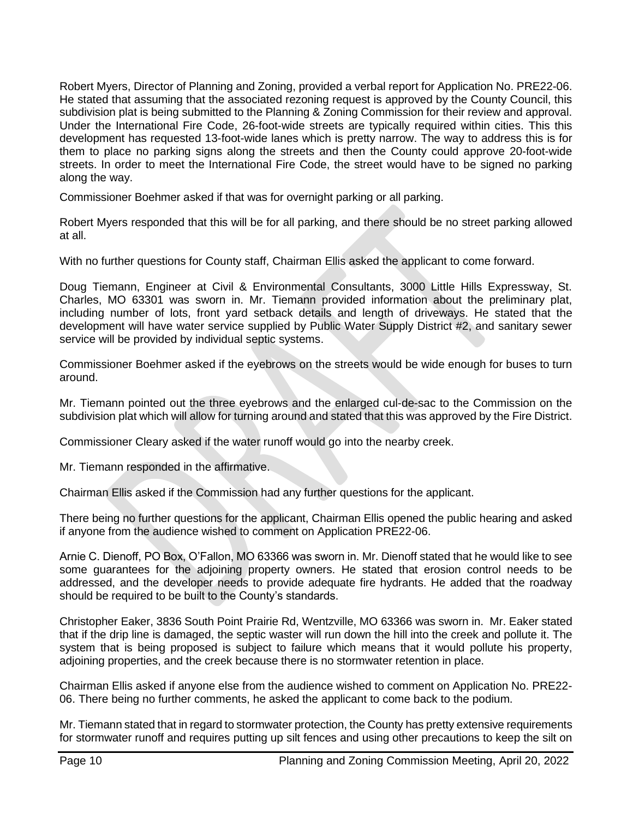Robert Myers, Director of Planning and Zoning, provided a verbal report for Application No. PRE22-06. He stated that assuming that the associated rezoning request is approved by the County Council, this subdivision plat is being submitted to the Planning & Zoning Commission for their review and approval. Under the International Fire Code, 26-foot-wide streets are typically required within cities. This this development has requested 13-foot-wide lanes which is pretty narrow. The way to address this is for them to place no parking signs along the streets and then the County could approve 20-foot-wide streets. In order to meet the International Fire Code, the street would have to be signed no parking along the way.

Commissioner Boehmer asked if that was for overnight parking or all parking.

Robert Myers responded that this will be for all parking, and there should be no street parking allowed at all.

With no further questions for County staff, Chairman Ellis asked the applicant to come forward.

Doug Tiemann, Engineer at Civil & Environmental Consultants, 3000 Little Hills Expressway, St. Charles, MO 63301 was sworn in. Mr. Tiemann provided information about the preliminary plat, including number of lots, front yard setback details and length of driveways. He stated that the development will have water service supplied by Public Water Supply District #2, and sanitary sewer service will be provided by individual septic systems.

Commissioner Boehmer asked if the eyebrows on the streets would be wide enough for buses to turn around.

Mr. Tiemann pointed out the three eyebrows and the enlarged cul-de-sac to the Commission on the subdivision plat which will allow for turning around and stated that this was approved by the Fire District.

Commissioner Cleary asked if the water runoff would go into the nearby creek.

Mr. Tiemann responded in the affirmative.

Chairman Ellis asked if the Commission had any further questions for the applicant.

There being no further questions for the applicant, Chairman Ellis opened the public hearing and asked if anyone from the audience wished to comment on Application PRE22-06.

Arnie C. Dienoff, PO Box, O'Fallon, MO 63366 was sworn in. Mr. Dienoff stated that he would like to see some guarantees for the adjoining property owners. He stated that erosion control needs to be addressed, and the developer needs to provide adequate fire hydrants. He added that the roadway should be required to be built to the County's standards.

Christopher Eaker, 3836 South Point Prairie Rd, Wentzville, MO 63366 was sworn in. Mr. Eaker stated that if the drip line is damaged, the septic waster will run down the hill into the creek and pollute it. The system that is being proposed is subject to failure which means that it would pollute his property, adjoining properties, and the creek because there is no stormwater retention in place.

Chairman Ellis asked if anyone else from the audience wished to comment on Application No. PRE22- 06. There being no further comments, he asked the applicant to come back to the podium.

Mr. Tiemann stated that in regard to stormwater protection, the County has pretty extensive requirements for stormwater runoff and requires putting up silt fences and using other precautions to keep the silt on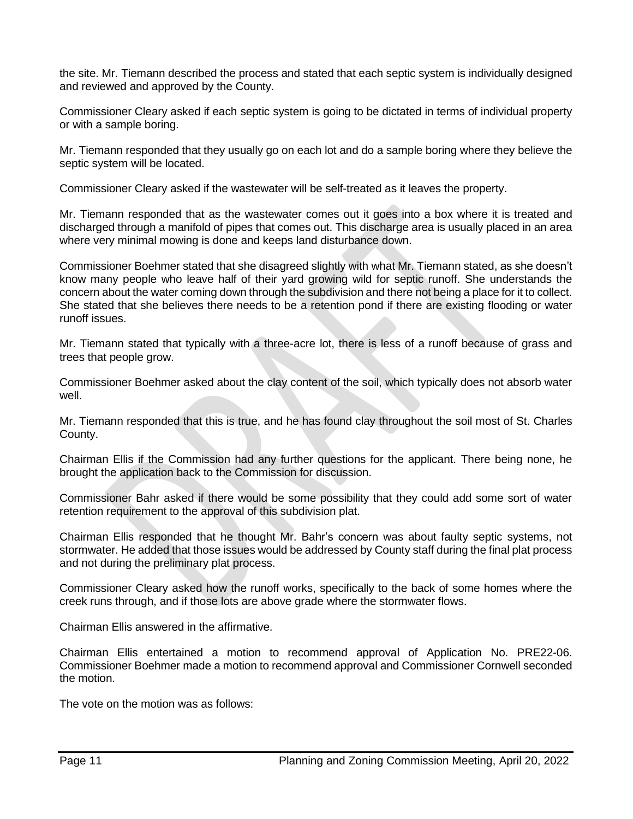the site. Mr. Tiemann described the process and stated that each septic system is individually designed and reviewed and approved by the County.

Commissioner Cleary asked if each septic system is going to be dictated in terms of individual property or with a sample boring.

Mr. Tiemann responded that they usually go on each lot and do a sample boring where they believe the septic system will be located.

Commissioner Cleary asked if the wastewater will be self-treated as it leaves the property.

Mr. Tiemann responded that as the wastewater comes out it goes into a box where it is treated and discharged through a manifold of pipes that comes out. This discharge area is usually placed in an area where very minimal mowing is done and keeps land disturbance down.

Commissioner Boehmer stated that she disagreed slightly with what Mr. Tiemann stated, as she doesn't know many people who leave half of their yard growing wild for septic runoff. She understands the concern about the water coming down through the subdivision and there not being a place for it to collect. She stated that she believes there needs to be a retention pond if there are existing flooding or water runoff issues.

Mr. Tiemann stated that typically with a three-acre lot, there is less of a runoff because of grass and trees that people grow.

Commissioner Boehmer asked about the clay content of the soil, which typically does not absorb water well.

Mr. Tiemann responded that this is true, and he has found clay throughout the soil most of St. Charles County.

Chairman Ellis if the Commission had any further questions for the applicant. There being none, he brought the application back to the Commission for discussion.

Commissioner Bahr asked if there would be some possibility that they could add some sort of water retention requirement to the approval of this subdivision plat.

Chairman Ellis responded that he thought Mr. Bahr's concern was about faulty septic systems, not stormwater. He added that those issues would be addressed by County staff during the final plat process and not during the preliminary plat process.

Commissioner Cleary asked how the runoff works, specifically to the back of some homes where the creek runs through, and if those lots are above grade where the stormwater flows.

Chairman Ellis answered in the affirmative.

Chairman Ellis entertained a motion to recommend approval of Application No. PRE22-06. Commissioner Boehmer made a motion to recommend approval and Commissioner Cornwell seconded the motion.

The vote on the motion was as follows: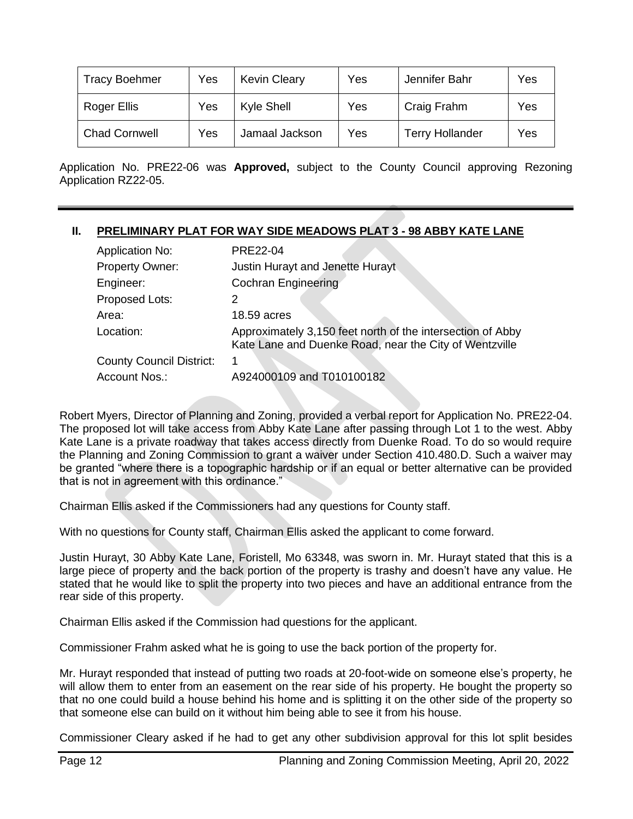| <b>Tracy Boehmer</b> | Yes | <b>Kevin Cleary</b> | Yes | Jennifer Bahr          | Yes |
|----------------------|-----|---------------------|-----|------------------------|-----|
| Roger Ellis          | Yes | <b>Kyle Shell</b>   | Yes | Craig Frahm            | Yes |
| <b>Chad Cornwell</b> | Yes | Jamaal Jackson      | Yes | <b>Terry Hollander</b> | Yes |

Application No. PRE22-06 was **Approved,** subject to the County Council approving Rezoning Application RZ22-05.

## **II. PRELIMINARY PLAT FOR WAY SIDE MEADOWS PLAT 3 - 98 ABBY KATE LANE**

| <b>Application No:</b>          | <b>PRE22-04</b>                                                                                                      |
|---------------------------------|----------------------------------------------------------------------------------------------------------------------|
| <b>Property Owner:</b>          | Justin Hurayt and Jenette Hurayt                                                                                     |
| Engineer:                       | <b>Cochran Engineering</b>                                                                                           |
| Proposed Lots:                  | 2                                                                                                                    |
| Area:                           | 18.59 acres                                                                                                          |
| Location:                       | Approximately 3,150 feet north of the intersection of Abby<br>Kate Lane and Duenke Road, near the City of Wentzville |
| <b>County Council District:</b> |                                                                                                                      |
| Account Nos.:                   | A924000109 and T010100182                                                                                            |

Robert Myers, Director of Planning and Zoning, provided a verbal report for Application No. PRE22-04. The proposed lot will take access from Abby Kate Lane after passing through Lot 1 to the west. Abby Kate Lane is a private roadway that takes access directly from Duenke Road. To do so would require the Planning and Zoning Commission to grant a waiver under Section 410.480.D. Such a waiver may be granted "where there is a topographic hardship or if an equal or better alternative can be provided that is not in agreement with this ordinance."

Chairman Ellis asked if the Commissioners had any questions for County staff.

With no questions for County staff, Chairman Ellis asked the applicant to come forward.

Justin Hurayt, 30 Abby Kate Lane, Foristell, Mo 63348, was sworn in. Mr. Hurayt stated that this is a large piece of property and the back portion of the property is trashy and doesn't have any value. He stated that he would like to split the property into two pieces and have an additional entrance from the rear side of this property.

Chairman Ellis asked if the Commission had questions for the applicant.

Commissioner Frahm asked what he is going to use the back portion of the property for.

Mr. Hurayt responded that instead of putting two roads at 20-foot-wide on someone else's property, he will allow them to enter from an easement on the rear side of his property. He bought the property so that no one could build a house behind his home and is splitting it on the other side of the property so that someone else can build on it without him being able to see it from his house.

Commissioner Cleary asked if he had to get any other subdivision approval for this lot split besides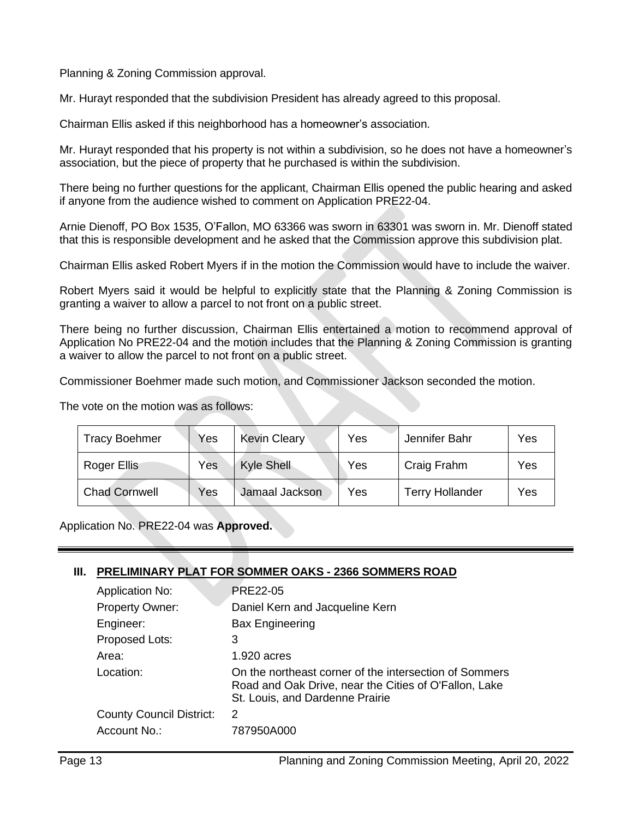Planning & Zoning Commission approval.

Mr. Hurayt responded that the subdivision President has already agreed to this proposal.

Chairman Ellis asked if this neighborhood has a homeowner's association.

Mr. Hurayt responded that his property is not within a subdivision, so he does not have a homeowner's association, but the piece of property that he purchased is within the subdivision.

There being no further questions for the applicant, Chairman Ellis opened the public hearing and asked if anyone from the audience wished to comment on Application PRE22-04.

Arnie Dienoff, PO Box 1535, O'Fallon, MO 63366 was sworn in 63301 was sworn in. Mr. Dienoff stated that this is responsible development and he asked that the Commission approve this subdivision plat.

Chairman Ellis asked Robert Myers if in the motion the Commission would have to include the waiver.

Robert Myers said it would be helpful to explicitly state that the Planning & Zoning Commission is granting a waiver to allow a parcel to not front on a public street.

There being no further discussion, Chairman Ellis entertained a motion to recommend approval of Application No PRE22-04 and the motion includes that the Planning & Zoning Commission is granting a waiver to allow the parcel to not front on a public street.

Commissioner Boehmer made such motion, and Commissioner Jackson seconded the motion.

The vote on the motion was as follows:

| <b>Tracy Boehmer</b> | Yes | <b>Kevin Cleary</b> | Yes | Jennifer Bahr          | Yes |
|----------------------|-----|---------------------|-----|------------------------|-----|
| Roger Ellis          | Yes | Kyle Shell          | Yes | Craig Frahm            | Yes |
| <b>Chad Cornwell</b> | Yes | Jamaal Jackson      | Yes | <b>Terry Hollander</b> | Yes |

Application No. PRE22-04 was **Approved.**

# **III. PRELIMINARY PLAT FOR SOMMER OAKS - 2366 SOMMERS ROAD**

| <b>Application No:</b>          | <b>PRE22-05</b>                                                                                                                                    |
|---------------------------------|----------------------------------------------------------------------------------------------------------------------------------------------------|
| Property Owner:                 | Daniel Kern and Jacqueline Kern                                                                                                                    |
| Engineer:                       | <b>Bax Engineering</b>                                                                                                                             |
| Proposed Lots:                  | 3                                                                                                                                                  |
| Area:                           | $1.920$ acres                                                                                                                                      |
| Location:                       | On the northeast corner of the intersection of Sommers<br>Road and Oak Drive, near the Cities of O'Fallon, Lake<br>St. Louis, and Dardenne Prairie |
| <b>County Council District:</b> | 2                                                                                                                                                  |
| Account No.:                    | 787950A000                                                                                                                                         |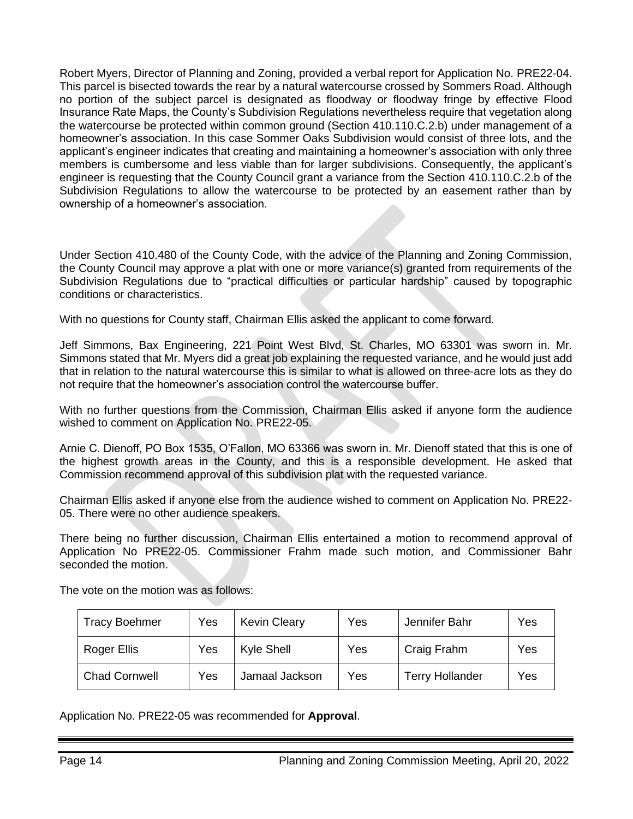Robert Myers, Director of Planning and Zoning, provided a verbal report for Application No. PRE22-04. This parcel is bisected towards the rear by a natural watercourse crossed by Sommers Road. Although no portion of the subject parcel is designated as floodway or floodway fringe by effective Flood Insurance Rate Maps, the County's Subdivision Regulations nevertheless require that vegetation along the watercourse be protected within common ground (Section 410.110.C.2.b) under management of a homeowner's association. In this case Sommer Oaks Subdivision would consist of three lots, and the applicant's engineer indicates that creating and maintaining a homeowner's association with only three members is cumbersome and less viable than for larger subdivisions. Consequently, the applicant's engineer is requesting that the County Council grant a variance from the Section 410.110.C.2.b of the Subdivision Regulations to allow the watercourse to be protected by an easement rather than by ownership of a homeowner's association.

Under Section 410.480 of the County Code, with the advice of the Planning and Zoning Commission, the County Council may approve a plat with one or more variance(s) granted from requirements of the Subdivision Regulations due to "practical difficulties or particular hardship" caused by topographic conditions or characteristics.

With no questions for County staff, Chairman Ellis asked the applicant to come forward.

Jeff Simmons, Bax Engineering, 221 Point West Blvd, St. Charles, MO 63301 was sworn in. Mr. Simmons stated that Mr. Myers did a great job explaining the requested variance, and he would just add that in relation to the natural watercourse this is similar to what is allowed on three-acre lots as they do not require that the homeowner's association control the watercourse buffer.

With no further questions from the Commission, Chairman Ellis asked if anyone form the audience wished to comment on Application No. PRE22-05.

Arnie C. Dienoff, PO Box 1535, O'Fallon, MO 63366 was sworn in. Mr. Dienoff stated that this is one of the highest growth areas in the County, and this is a responsible development. He asked that Commission recommend approval of this subdivision plat with the requested variance.

Chairman Ellis asked if anyone else from the audience wished to comment on Application No. PRE22- 05. There were no other audience speakers.

There being no further discussion, Chairman Ellis entertained a motion to recommend approval of Application No PRE22-05. Commissioner Frahm made such motion, and Commissioner Bahr seconded the motion.

The vote on the motion was as follows:

| <b>Tracy Boehmer</b> | Yes | <b>Kevin Cleary</b> | Yes | Jennifer Bahr          | Yes |
|----------------------|-----|---------------------|-----|------------------------|-----|
| Roger Ellis          | Yes | Kyle Shell          | Yes | Craig Frahm            | Yes |
| <b>Chad Cornwell</b> | Yes | Jamaal Jackson      | Yes | <b>Terry Hollander</b> | Yes |

Application No. PRE22-05 was recommended for **Approval**.